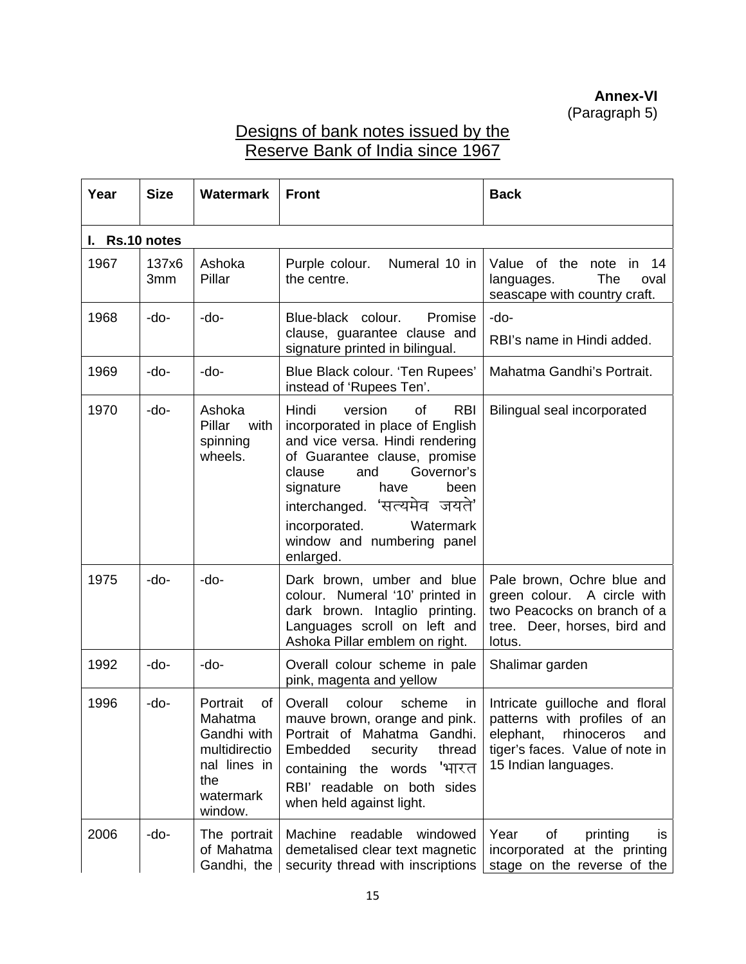**Annex-VI**  (Paragraph 5)

## Designs of bank notes issued by the Reserve Bank of India since 1967

| Year           | <b>Size</b>  | <b>Watermark</b>                                                                                         | <b>Front</b>                                                                                                                                                                                                                                                                                                     | <b>Back</b>                                                                                                                                                 |
|----------------|--------------|----------------------------------------------------------------------------------------------------------|------------------------------------------------------------------------------------------------------------------------------------------------------------------------------------------------------------------------------------------------------------------------------------------------------------------|-------------------------------------------------------------------------------------------------------------------------------------------------------------|
| I. Rs.10 notes |              |                                                                                                          |                                                                                                                                                                                                                                                                                                                  |                                                                                                                                                             |
| 1967           | 137x6<br>3mm | Ashoka<br>Pillar                                                                                         | Purple colour.<br>Numeral 10 in<br>the centre.                                                                                                                                                                                                                                                                   | Value of the note in<br>- 14<br>The<br>languages.<br>oval<br>seascape with country craft.                                                                   |
| 1968           | -do-         | -do-                                                                                                     | Blue-black colour.<br>Promise<br>clause, guarantee clause and<br>signature printed in bilingual.                                                                                                                                                                                                                 | -do-<br>RBI's name in Hindi added.                                                                                                                          |
| 1969           | -do-         | -do-                                                                                                     | Blue Black colour. 'Ten Rupees'<br>instead of 'Rupees Ten'.                                                                                                                                                                                                                                                      | Mahatma Gandhi's Portrait.                                                                                                                                  |
| 1970           | -do-         | Ashoka<br>Pillar<br>with<br>spinning<br>wheels.                                                          | Hindi<br>version<br>of<br><b>RBI</b><br>incorporated in place of English<br>and vice versa. Hindi rendering<br>of Guarantee clause, promise<br>Governor's<br>clause<br>and<br>signature<br>have<br>been<br>interchanged. 'सत्यमेव जयते'<br>incorporated.<br>Watermark<br>window and numbering panel<br>enlarged. | Bilingual seal incorporated                                                                                                                                 |
| 1975           | -do-         | -do-                                                                                                     | Dark brown, umber and blue<br>colour. Numeral '10' printed in<br>dark brown. Intaglio printing.<br>Languages scroll on left and<br>Ashoka Pillar emblem on right.                                                                                                                                                | Pale brown, Ochre blue and<br>green colour. A circle with<br>two Peacocks on branch of a<br>tree. Deer, horses, bird and<br>lotus.                          |
| 1992           | -do-         | -do-                                                                                                     | Overall colour scheme in pale<br>pink, magenta and yellow                                                                                                                                                                                                                                                        | Shalimar garden                                                                                                                                             |
| 1996           | -do-         | Portrait<br>of<br>Mahatma<br>Gandhi with<br>multidirectio<br>nal lines in<br>the<br>watermark<br>window. | colour<br>Overall<br>scheme<br>in.<br>mauve brown, orange and pink.<br>Portrait of Mahatma Gandhi.<br>Embedded<br>thread<br>security<br>'भारत<br>containing the words<br>RBI' readable on both sides<br>when held against light.                                                                                 | Intricate guilloche and floral<br>patterns with profiles of an<br>elephant,<br>rhinoceros<br>and<br>tiger's faces. Value of note in<br>15 Indian languages. |
| 2006           | -do-         | The portrait<br>of Mahatma<br>Gandhi, the                                                                | Machine<br>readable<br>windowed<br>demetalised clear text magnetic<br>security thread with inscriptions                                                                                                                                                                                                          | Year<br>of<br>printing<br><b>IS</b><br>incorporated at the printing<br>stage on the reverse of the                                                          |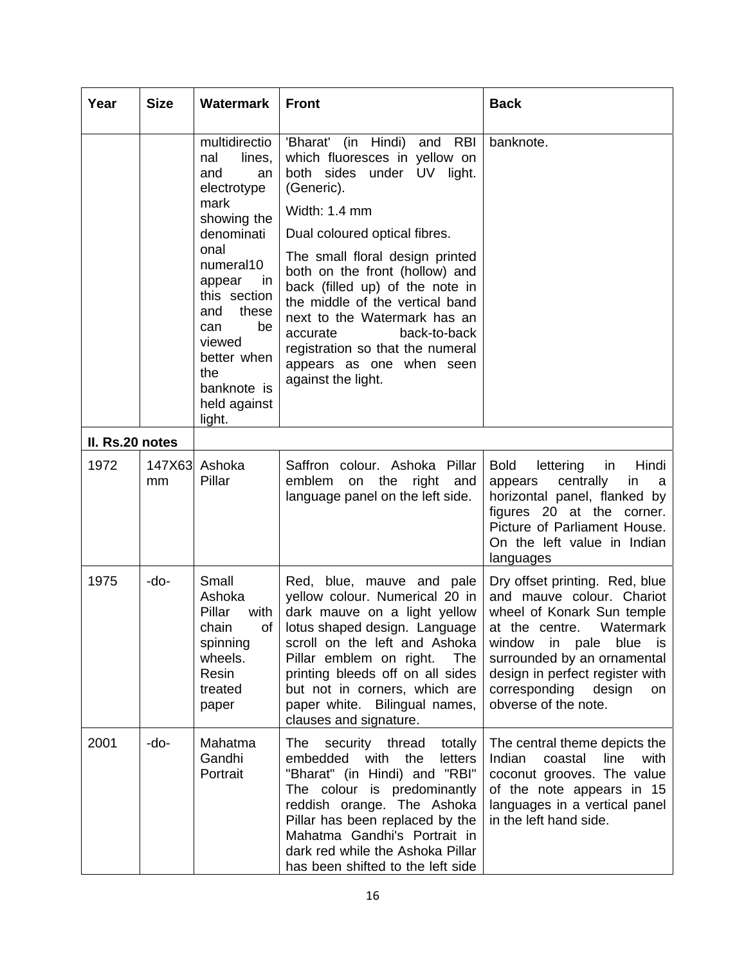| Year            | <b>Size</b>  | <b>Watermark</b>                                                                                                                                                                                                                                            | <b>Front</b>                                                                                                                                                                                                                                                                                                                                                                                                                                            | <b>Back</b>                                                                                                                                                                                                                                                                          |
|-----------------|--------------|-------------------------------------------------------------------------------------------------------------------------------------------------------------------------------------------------------------------------------------------------------------|---------------------------------------------------------------------------------------------------------------------------------------------------------------------------------------------------------------------------------------------------------------------------------------------------------------------------------------------------------------------------------------------------------------------------------------------------------|--------------------------------------------------------------------------------------------------------------------------------------------------------------------------------------------------------------------------------------------------------------------------------------|
|                 |              | multidirectio<br>nal<br>lines,<br>and<br>an<br>electrotype<br>mark<br>showing the<br>denominati<br>onal<br>numeral10<br>appear<br>in.<br>this section<br>these<br>and<br>be<br>can<br>viewed<br>better when<br>the<br>banknote is<br>held against<br>light. | 'Bharat' (in Hindi) and RBI<br>which fluoresces in yellow on<br>both sides under UV light.<br>(Generic).<br>Width: 1.4 mm<br>Dual coloured optical fibres.<br>The small floral design printed<br>both on the front (hollow) and<br>back (filled up) of the note in<br>the middle of the vertical band<br>next to the Watermark has an<br>back-to-back<br>accurate<br>registration so that the numeral<br>appears as one when seen<br>against the light. | banknote.                                                                                                                                                                                                                                                                            |
| II. Rs.20 notes |              |                                                                                                                                                                                                                                                             |                                                                                                                                                                                                                                                                                                                                                                                                                                                         |                                                                                                                                                                                                                                                                                      |
| 1972            | 147X63<br>mm | Ashoka<br>Pillar                                                                                                                                                                                                                                            | Saffron colour. Ashoka Pillar<br>emblem<br>the<br>right<br>and<br>on<br>language panel on the left side.                                                                                                                                                                                                                                                                                                                                                | <b>Bold</b><br>lettering<br>Hindi<br>in<br>centrally<br>in<br>appears<br>a<br>horizontal panel, flanked by<br>figures 20 at the corner.<br>Picture of Parliament House.<br>On the left value in Indian<br>languages                                                                  |
| 1975            | -do-         | Small<br>Ashoka<br>Pillar<br>with<br>of<br>chain<br>spinning<br>wheels.<br>Resin<br>treated<br>paper                                                                                                                                                        | Red, blue, mauve and pale<br>yellow colour. Numerical 20 in<br>dark mauve on a light yellow<br>lotus shaped design. Language<br>scroll on the left and Ashoka<br>Pillar emblem on right.<br>The<br>printing bleeds off on all sides<br>but not in corners, which are<br>paper white. Bilingual names,<br>clauses and signature.                                                                                                                         | Dry offset printing. Red, blue<br>and mauve colour. Chariot<br>wheel of Konark Sun temple<br>Watermark<br>at the centre.<br>window in pale<br>blue<br>is.<br>surrounded by an ornamental<br>design in perfect register with<br>corresponding<br>design<br>on<br>obverse of the note. |
| 2001            | -do-         | Mahatma<br>Gandhi<br>Portrait                                                                                                                                                                                                                               | security thread totally<br>The<br>embedded<br>with<br>the<br>letters<br>"Bharat" (in Hindi) and "RBI"<br>The colour is predominantly<br>reddish orange. The Ashoka<br>Pillar has been replaced by the<br>Mahatma Gandhi's Portrait in<br>dark red while the Ashoka Pillar<br>has been shifted to the left side                                                                                                                                          | The central theme depicts the<br>Indian<br>line<br>with<br>coastal<br>coconut grooves. The value<br>of the note appears in 15<br>languages in a vertical panel<br>in the left hand side.                                                                                             |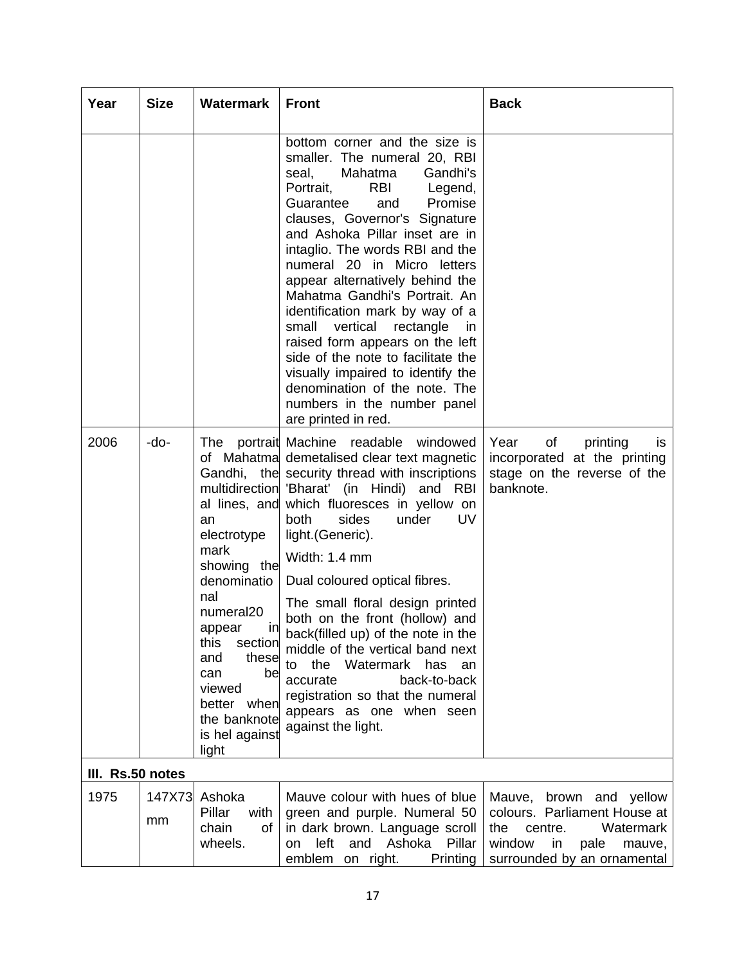| Year             | <b>Size</b>  | <b>Watermark</b>                                                                                                                                                                                                                         | <b>Front</b>                                                                                                                                                                                                                                                                                                                                                                                                                                                                                                                                                                                                                                          | <b>Back</b>                                                                                                                                                |
|------------------|--------------|------------------------------------------------------------------------------------------------------------------------------------------------------------------------------------------------------------------------------------------|-------------------------------------------------------------------------------------------------------------------------------------------------------------------------------------------------------------------------------------------------------------------------------------------------------------------------------------------------------------------------------------------------------------------------------------------------------------------------------------------------------------------------------------------------------------------------------------------------------------------------------------------------------|------------------------------------------------------------------------------------------------------------------------------------------------------------|
|                  |              |                                                                                                                                                                                                                                          | bottom corner and the size is<br>smaller. The numeral 20, RBI<br>Mahatma<br>Gandhi's<br>seal,<br>Portrait,<br>RBI<br>Legend,<br>Guarantee<br>Promise<br>and<br>clauses, Governor's Signature<br>and Ashoka Pillar inset are in<br>intaglio. The words RBI and the<br>numeral 20 in Micro letters<br>appear alternatively behind the<br>Mahatma Gandhi's Portrait. An<br>identification mark by way of a<br>small vertical rectangle<br><i>in</i><br>raised form appears on the left<br>side of the note to facilitate the<br>visually impaired to identify the<br>denomination of the note. The<br>numbers in the number panel<br>are printed in red. |                                                                                                                                                            |
| 2006             | -do-         | The<br>al lines, and<br>an<br>electrotype<br>mark<br>showing the<br>denominatio<br>nal<br>numeral20<br>ınl<br>appear<br>this<br>section<br>these<br>and<br>be<br>can<br>viewed<br>better when<br>the banknote<br>is hel against<br>light | portrait Machine readable windowed<br>of Mahatma demetalised clear text magnetic<br>Gandhi, the security thread with inscriptions<br>multidirection 'Bharat' (in Hindi) and RBI<br>which fluoresces in yellow on<br>under<br><b>both</b><br>sides<br>UV.<br>light. (Generic).<br>Width: 1.4 mm<br>Dual coloured optical fibres.<br>The small floral design printed<br>both on the front (hollow) and<br>back(filled up) of the note in the<br>middle of the vertical band next<br>the Watermark has<br>to<br>an<br>accurate<br>back-to-back<br>registration so that the numeral<br>appears as one when seen<br>against the light.                     | Year<br>of<br>printing<br>IS<br>incorporated at the printing<br>stage on the reverse of the<br>banknote.                                                   |
| III. Rs.50 notes |              |                                                                                                                                                                                                                                          |                                                                                                                                                                                                                                                                                                                                                                                                                                                                                                                                                                                                                                                       |                                                                                                                                                            |
| 1975             | 147X73<br>mm | Ashoka<br>Pillar<br>with<br>chain<br>of<br>wheels.                                                                                                                                                                                       | Mauve colour with hues of blue<br>green and purple. Numeral 50<br>in dark brown. Language scroll<br>left<br>and Ashoka<br>Pillar<br>on<br>emblem on right.<br>Printing                                                                                                                                                                                                                                                                                                                                                                                                                                                                                | Mauve,<br>brown and yellow<br>colours. Parliament House at<br>the<br>Watermark<br>centre.<br>window<br>pale<br>in<br>mauve,<br>surrounded by an ornamental |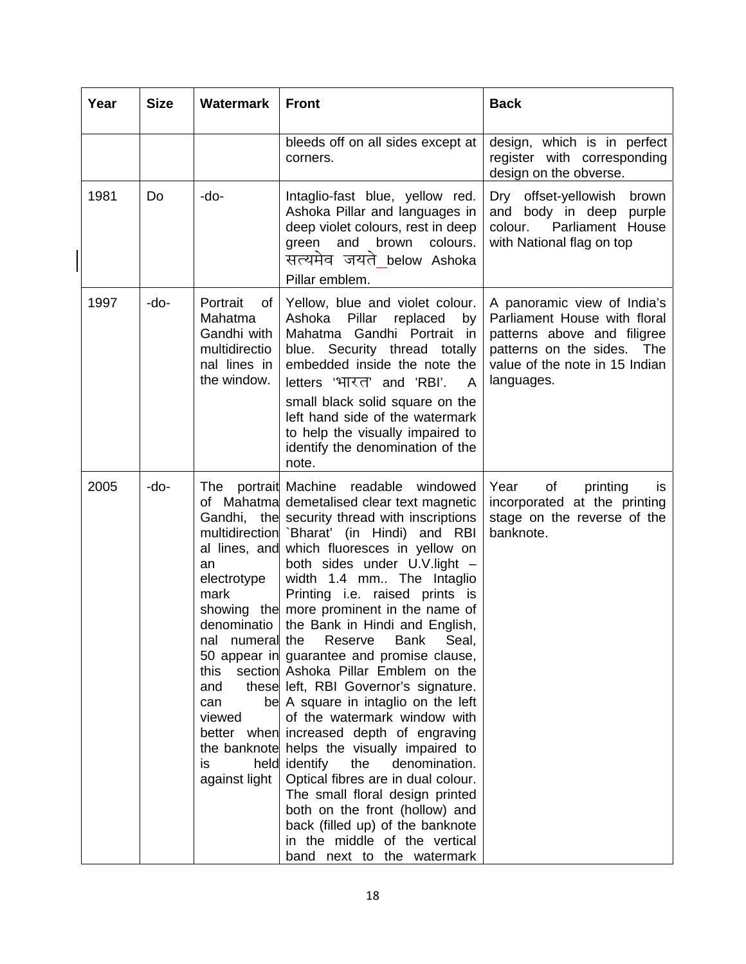| Year | <b>Size</b> | <b>Watermark</b>                                                                                                                                         | <b>Front</b>                                                                                                                                                                                                                                                                                                                                                                                                                                                                                                                                                                                                                                                                                                                                                                                                                                                                                                                                                                          | <b>Back</b>                                                                                                                                                                 |
|------|-------------|----------------------------------------------------------------------------------------------------------------------------------------------------------|---------------------------------------------------------------------------------------------------------------------------------------------------------------------------------------------------------------------------------------------------------------------------------------------------------------------------------------------------------------------------------------------------------------------------------------------------------------------------------------------------------------------------------------------------------------------------------------------------------------------------------------------------------------------------------------------------------------------------------------------------------------------------------------------------------------------------------------------------------------------------------------------------------------------------------------------------------------------------------------|-----------------------------------------------------------------------------------------------------------------------------------------------------------------------------|
|      |             |                                                                                                                                                          | bleeds off on all sides except at<br>corners.                                                                                                                                                                                                                                                                                                                                                                                                                                                                                                                                                                                                                                                                                                                                                                                                                                                                                                                                         | design, which is in perfect<br>register with corresponding<br>design on the obverse.                                                                                        |
| 1981 | Do          | -do-                                                                                                                                                     | Intaglio-fast blue, yellow red.<br>Ashoka Pillar and languages in<br>deep violet colours, rest in deep<br>green<br>and<br>brown<br>colours.<br>सत्यमेव जयते below Ashoka<br>Pillar emblem.                                                                                                                                                                                                                                                                                                                                                                                                                                                                                                                                                                                                                                                                                                                                                                                            | Dry<br>offset-yellowish<br>brown<br>body in deep<br>and<br>purple<br>Parliament House<br>colour.<br>with National flag on top                                               |
| 1997 | -do-        | Portrait<br>of<br>Mahatma<br>Gandhi with<br>multidirectio<br>nal lines in<br>the window.                                                                 | Yellow, blue and violet colour.<br>Ashoka Pillar<br>replaced<br>by<br>Mahatma Gandhi Portrait in<br>Security thread totally<br>blue.<br>embedded inside the note the<br>letters 'भारत' and 'RBI'.<br>A<br>small black solid square on the<br>left hand side of the watermark<br>to help the visually impaired to<br>identify the denomination of the<br>note.                                                                                                                                                                                                                                                                                                                                                                                                                                                                                                                                                                                                                         | A panoramic view of India's<br>Parliament House with floral<br>patterns above and filigree<br>patterns on the sides.<br>The<br>value of the note in 15 Indian<br>languages. |
| 2005 | -do-        | The<br>al lines, and<br>an<br>electrotype<br>mark<br>numeral the<br>nal<br>section<br>this<br>and<br>can<br>viewed<br>better when<br>is<br>against light | portrait Machine readable<br>windowed<br>of Mahatma demetalised clear text magnetic<br>Gandhi, the security thread with inscriptions<br>multidirection 'Bharat' (in Hindi) and RBI<br>which fluoresces in yellow on<br>both sides under U.V.light -<br>width 1.4 mm The Intaglio<br>Printing i.e. raised prints is<br>showing the more prominent in the name of<br>denominatio   the Bank in Hindi and English,<br>Reserve<br><b>Bank</b><br>Seal,<br>50 appear in guarantee and promise clause,<br>Ashoka Pillar Emblem on the<br>these left, RBI Governor's signature.<br>be A square in intaglio on the left<br>of the watermark window with<br>increased depth of engraving<br>the banknote helps the visually impaired to<br>held identify<br>the<br>denomination.<br>Optical fibres are in dual colour.<br>The small floral design printed<br>both on the front (hollow) and<br>back (filled up) of the banknote<br>in the middle of the vertical<br>band next to the watermark | Year<br>of<br>printing<br>is.<br>incorporated at the printing<br>stage on the reverse of the<br>banknote.                                                                   |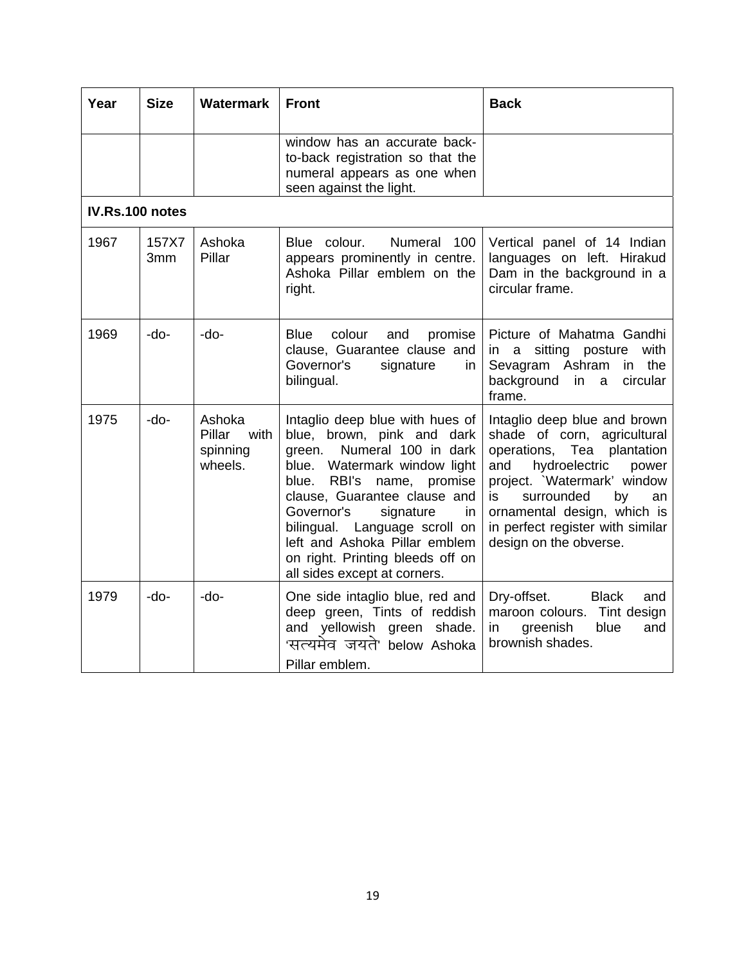| Year            | <b>Size</b>  | <b>Watermark</b>                                | <b>Front</b>                                                                                                                                                                                                                                                                                                                                                                    | <b>Back</b>                                                                                                                                                                                                                                                                             |
|-----------------|--------------|-------------------------------------------------|---------------------------------------------------------------------------------------------------------------------------------------------------------------------------------------------------------------------------------------------------------------------------------------------------------------------------------------------------------------------------------|-----------------------------------------------------------------------------------------------------------------------------------------------------------------------------------------------------------------------------------------------------------------------------------------|
|                 |              |                                                 | window has an accurate back-<br>to-back registration so that the<br>numeral appears as one when<br>seen against the light.                                                                                                                                                                                                                                                      |                                                                                                                                                                                                                                                                                         |
| IV.Rs.100 notes |              |                                                 |                                                                                                                                                                                                                                                                                                                                                                                 |                                                                                                                                                                                                                                                                                         |
| 1967            | 157X7<br>3mm | Ashoka<br>Pillar                                | Blue colour.<br>Numeral 100<br>appears prominently in centre.<br>Ashoka Pillar emblem on the<br>right.                                                                                                                                                                                                                                                                          | Vertical panel of 14 Indian<br>languages on left. Hirakud<br>Dam in the background in a<br>circular frame.                                                                                                                                                                              |
| 1969            | -do-         | -do-                                            | <b>Blue</b><br>colour<br>and<br>promise<br>clause, Guarantee clause and<br>Governor's<br>signature<br>in<br>bilingual.                                                                                                                                                                                                                                                          | Picture of Mahatma Gandhi<br>with<br>sitting posture<br>in a<br>Sevagram Ashram<br>in the<br>background in a<br>circular<br>frame.                                                                                                                                                      |
| 1975            | -do-         | Ashoka<br>Pillar<br>with<br>spinning<br>wheels. | Intaglio deep blue with hues of<br>blue, brown, pink and dark<br>Numeral 100 in dark<br>green.<br>Watermark window light<br>blue.<br>RBI's<br>blue.<br>name,<br>promise<br>clause, Guarantee clause and<br>Governor's<br>signature<br>in.<br>bilingual. Language scroll on<br>left and Ashoka Pillar emblem<br>on right. Printing bleeds off on<br>all sides except at corners. | Intaglio deep blue and brown<br>shade of corn, agricultural<br>operations, Tea plantation<br>hydroelectric<br>and<br>power<br>project. `Watermark' window<br>surrounded<br>is.<br>by<br>an<br>ornamental design, which is<br>in perfect register with similar<br>design on the obverse. |
| 1979            | -do-         | -do-                                            | One side intaglio blue, red and<br>deep green, Tints of reddish<br>and yellowish green<br>shade.<br>'सत्यमेव जयते' below Ashoka<br>Pillar emblem.                                                                                                                                                                                                                               | Dry-offset.<br><b>Black</b><br>and<br>maroon colours.<br>Tint design<br>greenish<br>blue<br>and<br>in<br>brownish shades.                                                                                                                                                               |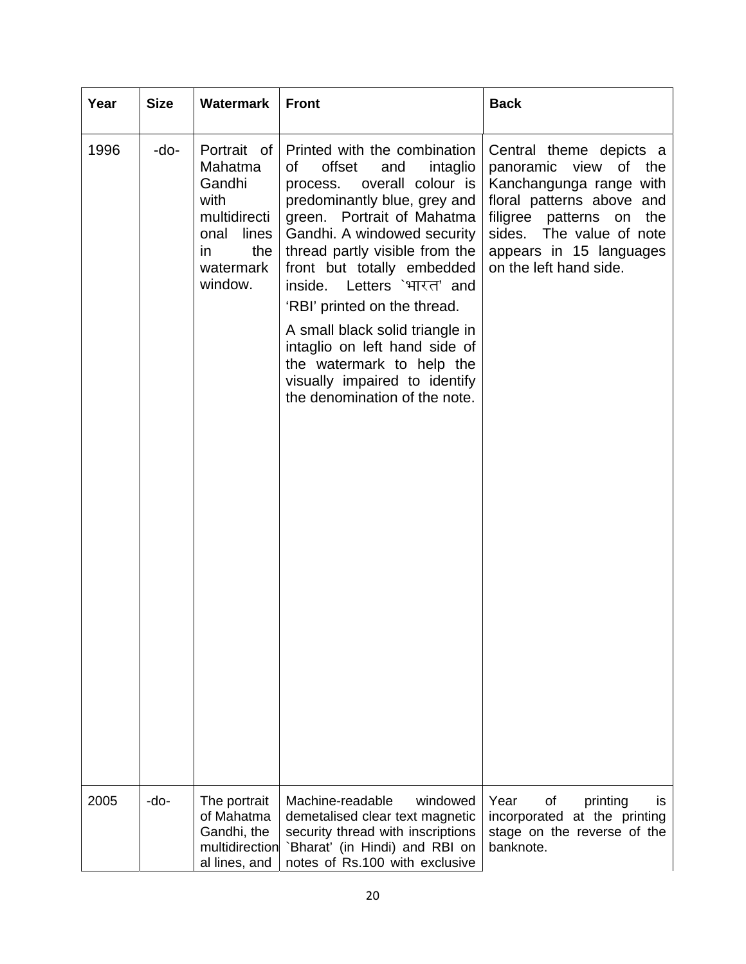| Year | <b>Size</b> | <b>Watermark</b>                                                                                                | <b>Front</b>                                                                                                                                                                                                                                                                                                                                                                                                                                                                                   | <b>Back</b>                                                                                                                                                                                                                       |
|------|-------------|-----------------------------------------------------------------------------------------------------------------|------------------------------------------------------------------------------------------------------------------------------------------------------------------------------------------------------------------------------------------------------------------------------------------------------------------------------------------------------------------------------------------------------------------------------------------------------------------------------------------------|-----------------------------------------------------------------------------------------------------------------------------------------------------------------------------------------------------------------------------------|
| 1996 | -do-        | Portrait of<br>Mahatma<br>Gandhi<br>with<br>multidirecti<br>onal<br>lines<br>the<br>in.<br>watermark<br>window. | Printed with the combination<br>offset<br>οf<br>intaglio<br>and<br>overall colour is<br>process.<br>predominantly blue, grey and<br>green. Portrait of Mahatma<br>Gandhi. A windowed security<br>thread partly visible from the<br>front but totally embedded<br>inside. Letters `भारत' and<br>'RBI' printed on the thread.<br>A small black solid triangle in<br>intaglio on left hand side of<br>the watermark to help the<br>visually impaired to identify<br>the denomination of the note. | Central theme depicts a<br>panoramic view<br>of<br>the<br>Kanchangunga range with<br>floral patterns above and<br>filigree patterns on<br>the<br>sides.<br>The value of note<br>appears in 15 languages<br>on the left hand side. |
| 2005 | -do-        | The portrait<br>of Mahatma<br>Gandhi, the<br>multidirection<br>al lines, and                                    | Machine-readable<br>windowed<br>demetalised clear text magnetic<br>security thread with inscriptions<br>`Bharat' (in Hindi) and RBI on<br>notes of Rs.100 with exclusive                                                                                                                                                                                                                                                                                                                       | Year<br>of<br>printing<br><b>is</b><br>incorporated at the printing<br>stage on the reverse of the<br>banknote.                                                                                                                   |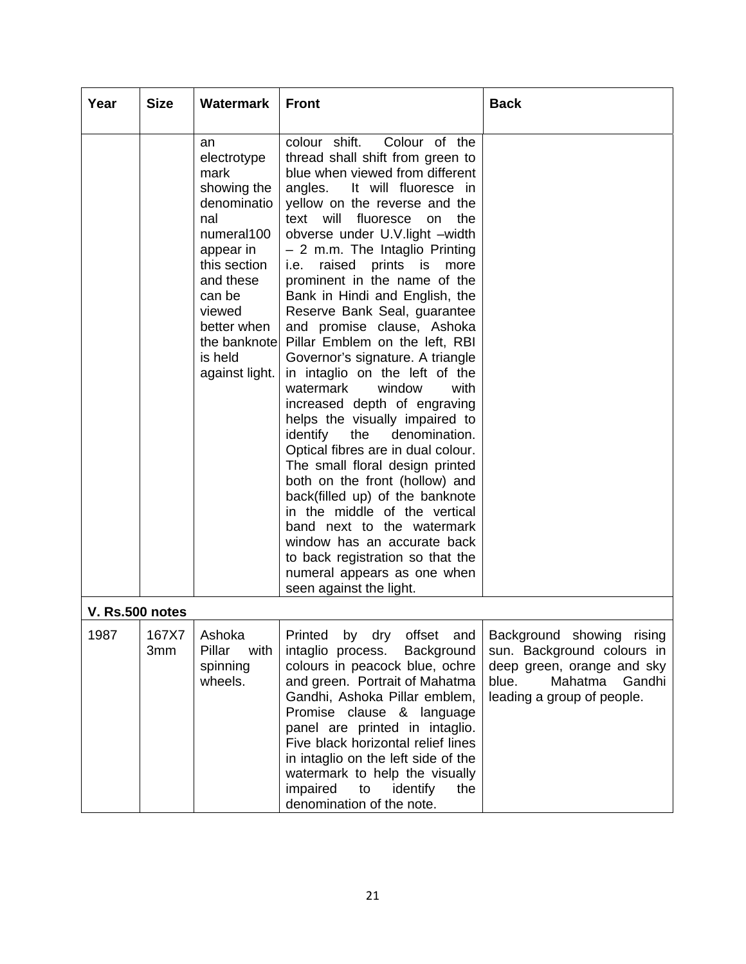| Year | <b>Size</b>     | <b>Watermark</b>                                                                                                                                                                                        | <b>Front</b>                                                                                                                                                                                                                                                                                                                                                                                                                                                                                                                                                                                                                                                                                                                                                                                                                                                                                                                                                                                                                                       | <b>Back</b>                                                                                                                                       |
|------|-----------------|---------------------------------------------------------------------------------------------------------------------------------------------------------------------------------------------------------|----------------------------------------------------------------------------------------------------------------------------------------------------------------------------------------------------------------------------------------------------------------------------------------------------------------------------------------------------------------------------------------------------------------------------------------------------------------------------------------------------------------------------------------------------------------------------------------------------------------------------------------------------------------------------------------------------------------------------------------------------------------------------------------------------------------------------------------------------------------------------------------------------------------------------------------------------------------------------------------------------------------------------------------------------|---------------------------------------------------------------------------------------------------------------------------------------------------|
|      |                 | an<br>electrotype<br>mark<br>showing the<br>denominatio<br>nal<br>numeral100<br>appear in<br>this section<br>and these<br>can be<br>viewed<br>better when<br>the banknotel<br>is held<br>against light. | colour shift.<br>Colour of the<br>thread shall shift from green to<br>blue when viewed from different<br>It will fluoresce in<br>angles.<br>yellow on the reverse and the<br>text will<br>fluoresce<br>on<br>the<br>obverse under U.V.light -width<br>- 2 m.m. The Intaglio Printing<br>raised<br>prints is<br>i.e.<br>more<br>prominent in the name of the<br>Bank in Hindi and English, the<br>Reserve Bank Seal, guarantee<br>and promise clause, Ashoka<br>Pillar Emblem on the left, RBI<br>Governor's signature. A triangle<br>in intaglio on the left of the<br>watermark<br>window<br>with<br>increased depth of engraving<br>helps the visually impaired to<br>identify<br>the<br>denomination.<br>Optical fibres are in dual colour.<br>The small floral design printed<br>both on the front (hollow) and<br>back(filled up) of the banknote<br>in the middle of the vertical<br>band next to the watermark<br>window has an accurate back<br>to back registration so that the<br>numeral appears as one when<br>seen against the light. |                                                                                                                                                   |
|      | V. Rs.500 notes |                                                                                                                                                                                                         |                                                                                                                                                                                                                                                                                                                                                                                                                                                                                                                                                                                                                                                                                                                                                                                                                                                                                                                                                                                                                                                    |                                                                                                                                                   |
| 1987 | 167X7<br>3mm    | Ashoka<br>Pillar<br>with<br>spinning<br>wheels.                                                                                                                                                         | offset and<br>Printed by dry<br>intaglio process.<br>Background<br>colours in peacock blue, ochre<br>and green. Portrait of Mahatma<br>Gandhi, Ashoka Pillar emblem,<br>Promise clause & language<br>panel are printed in intaglio.<br>Five black horizontal relief lines<br>in intaglio on the left side of the<br>watermark to help the visually<br>impaired<br>to<br>identify<br>the<br>denomination of the note.                                                                                                                                                                                                                                                                                                                                                                                                                                                                                                                                                                                                                               | Background showing rising<br>sun. Background colours in<br>deep green, orange and sky<br>blue.<br>Mahatma<br>Gandhi<br>leading a group of people. |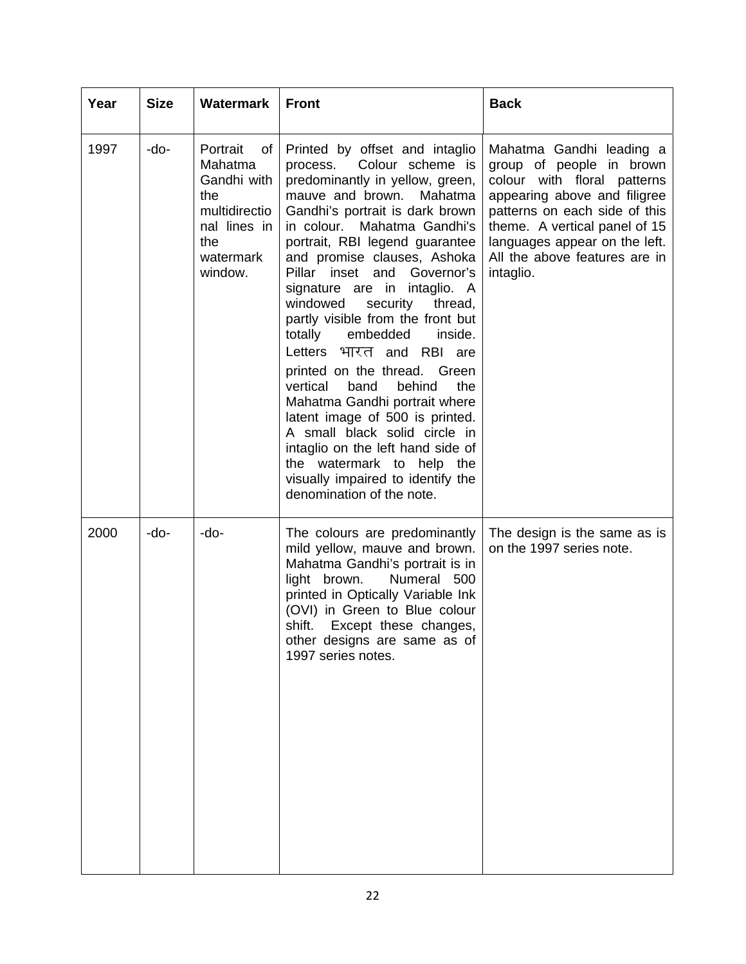| Year | <b>Size</b> | <b>Watermark</b>                                                                                                  | <b>Front</b>                                                                                                                                                                                                                                                                                                                                                                                                                                                                                                                                                                                                                                                                                                                                                                           | <b>Back</b>                                                                                                                                                                                                                                                          |
|------|-------------|-------------------------------------------------------------------------------------------------------------------|----------------------------------------------------------------------------------------------------------------------------------------------------------------------------------------------------------------------------------------------------------------------------------------------------------------------------------------------------------------------------------------------------------------------------------------------------------------------------------------------------------------------------------------------------------------------------------------------------------------------------------------------------------------------------------------------------------------------------------------------------------------------------------------|----------------------------------------------------------------------------------------------------------------------------------------------------------------------------------------------------------------------------------------------------------------------|
| 1997 | -do-        | Portrait<br>of I<br>Mahatma<br>Gandhi with<br>the<br>multidirectio<br>nal lines in<br>the<br>watermark<br>window. | Printed by offset and intaglio<br>Colour scheme is<br>process.<br>predominantly in yellow, green,<br>mauve and brown.<br>Mahatma<br>Gandhi's portrait is dark brown<br>in colour. Mahatma Gandhi's<br>portrait, RBI legend guarantee<br>and promise clauses, Ashoka<br>Pillar inset and Governor's<br>signature are in intaglio. A<br>windowed<br>security<br>thread,<br>partly visible from the front but<br>totally<br>embedded<br>inside.<br>Letters भारत and RBI are<br>printed on the thread. Green<br>vertical<br>band<br>behind<br>the<br>Mahatma Gandhi portrait where<br>latent image of 500 is printed.<br>A small black solid circle in<br>intaglio on the left hand side of<br>the watermark to help the<br>visually impaired to identify the<br>denomination of the note. | Mahatma Gandhi leading a<br>group of people in brown<br>colour with floral patterns<br>appearing above and filigree<br>patterns on each side of this<br>theme. A vertical panel of 15<br>languages appear on the left.<br>All the above features are in<br>intaglio. |
| 2000 | -do-        | -do-                                                                                                              | The colours are predominantly<br>mild yellow, mauve and brown.<br>Mahatma Gandhi's portrait is in<br>light brown.<br>Numeral 500<br>printed in Optically Variable Ink<br>(OVI) in Green to Blue colour<br>shift.<br>Except these changes,<br>other designs are same as of<br>1997 series notes.                                                                                                                                                                                                                                                                                                                                                                                                                                                                                        | The design is the same as is<br>on the 1997 series note.                                                                                                                                                                                                             |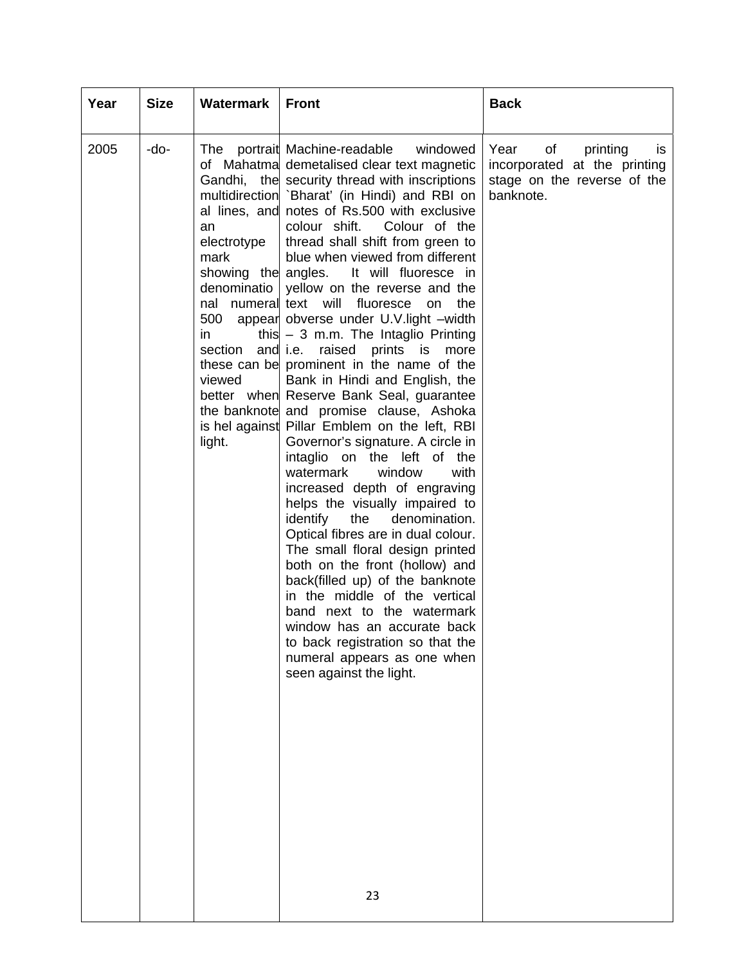| Year | <b>Size</b> | Watermark                                                                                           | <b>Front</b>                                                                                                                                                                                                                                                                                                                                                                                                                                                                                                                                                                                                                                                                                                                                                                                                                                                                                                                                                                                                                                                                                                                                                                                                                                                                                                                                                                    | <b>Back</b>                                                                                               |
|------|-------------|-----------------------------------------------------------------------------------------------------|---------------------------------------------------------------------------------------------------------------------------------------------------------------------------------------------------------------------------------------------------------------------------------------------------------------------------------------------------------------------------------------------------------------------------------------------------------------------------------------------------------------------------------------------------------------------------------------------------------------------------------------------------------------------------------------------------------------------------------------------------------------------------------------------------------------------------------------------------------------------------------------------------------------------------------------------------------------------------------------------------------------------------------------------------------------------------------------------------------------------------------------------------------------------------------------------------------------------------------------------------------------------------------------------------------------------------------------------------------------------------------|-----------------------------------------------------------------------------------------------------------|
| 2005 | -do-        | The<br>an<br>electrotype<br>mark<br>showing the angles.<br>500<br>in<br>section<br>viewed<br>light. | portrait Machine-readable<br>windowed<br>of Mahatma demetalised clear text magnetic<br>Gandhi, the security thread with inscriptions<br>multidirection 'Bharat' (in Hindi) and RBI on<br>al lines, and notes of Rs.500 with exclusive<br>colour shift.<br>Colour of the<br>thread shall shift from green to<br>blue when viewed from different<br>It will fluoresce in<br>denominatio   yellow on the reverse and the<br>nal numeral text will fluoresce<br>the<br>on<br>appear obverse under U.V. light -width<br>this $-3$ m.m. The Intaglio Printing<br>and i.e.<br>raised prints is<br>more<br>these can be prominent in the name of the<br>Bank in Hindi and English, the<br>better when Reserve Bank Seal, guarantee<br>the banknote and promise clause, Ashoka<br>is hel against Pillar Emblem on the left, RBI<br>Governor's signature. A circle in<br>intaglio on the left of the<br>watermark<br>window<br>with<br>increased depth of engraving<br>helps the visually impaired to<br>identify<br>the<br>denomination.<br>Optical fibres are in dual colour.<br>The small floral design printed<br>both on the front (hollow) and<br>back(filled up) of the banknote<br>in the middle of the vertical<br>band next to the watermark<br>window has an accurate back<br>to back registration so that the<br>numeral appears as one when<br>seen against the light.<br>23 | printing<br>Year<br>of<br>is.<br>incorporated at the printing<br>stage on the reverse of the<br>banknote. |
|      |             |                                                                                                     |                                                                                                                                                                                                                                                                                                                                                                                                                                                                                                                                                                                                                                                                                                                                                                                                                                                                                                                                                                                                                                                                                                                                                                                                                                                                                                                                                                                 |                                                                                                           |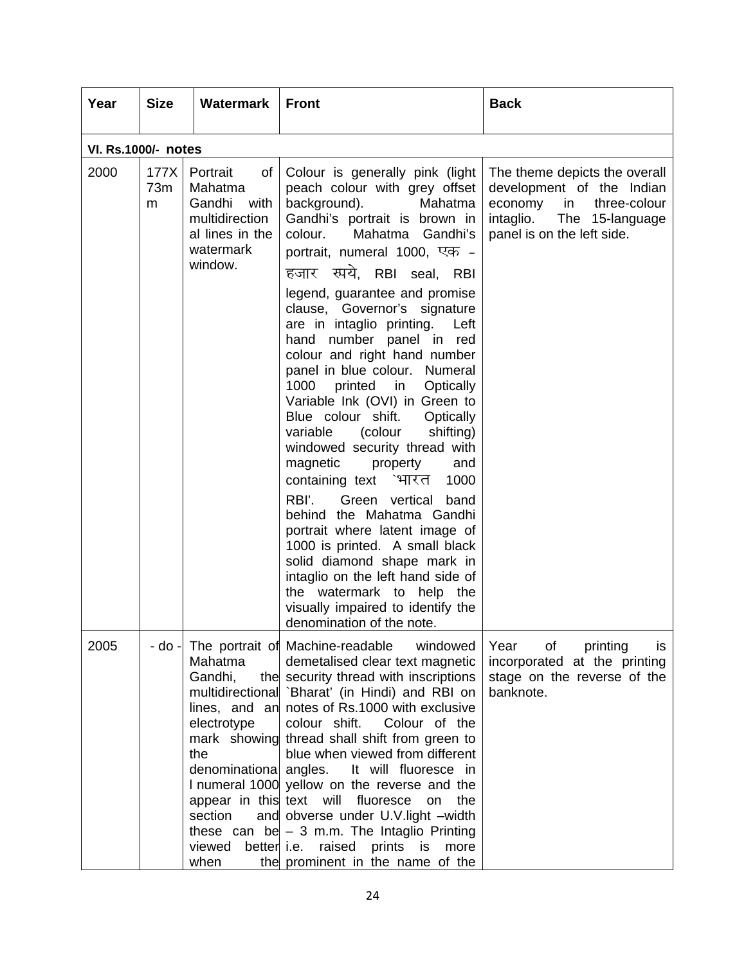| Year                       | <b>Size</b>      | Watermark                                                                                                                | <b>Front</b>                                                                                                                                                                                                                                                                                                                                                                                                                                                                                                                                                                                                                                                                                                                                                                                                                                                                                                                                                                    | <b>Back</b>                                                                                                                                               |
|----------------------------|------------------|--------------------------------------------------------------------------------------------------------------------------|---------------------------------------------------------------------------------------------------------------------------------------------------------------------------------------------------------------------------------------------------------------------------------------------------------------------------------------------------------------------------------------------------------------------------------------------------------------------------------------------------------------------------------------------------------------------------------------------------------------------------------------------------------------------------------------------------------------------------------------------------------------------------------------------------------------------------------------------------------------------------------------------------------------------------------------------------------------------------------|-----------------------------------------------------------------------------------------------------------------------------------------------------------|
| <b>VI. Rs.1000/- notes</b> |                  |                                                                                                                          |                                                                                                                                                                                                                                                                                                                                                                                                                                                                                                                                                                                                                                                                                                                                                                                                                                                                                                                                                                                 |                                                                                                                                                           |
| 2000                       | 177X<br>73m<br>m | of<br>Portrait<br>Mahatma<br>Gandhi<br>with<br>multidirection<br>al lines in the<br>watermark<br>window.                 | Colour is generally pink (light<br>peach colour with grey offset<br>background).<br>Mahatma<br>Gandhi's portrait is brown in<br>colour.<br>Mahatma Gandhi's<br>portrait, numeral 1000, एक -<br>हजार स्पये, RBI seal, RBI<br>legend, guarantee and promise<br>clause, Governor's signature<br>are in intaglio printing.<br>Left<br>hand number panel in red<br>colour and right hand number<br>panel in blue colour. Numeral<br>1000<br>printed in<br>Optically<br>Variable Ink (OVI) in Green to<br>Blue colour shift.<br>Optically<br>variable<br>(colour<br>shifting)<br>windowed security thread with<br>magnetic<br>property<br>and<br>containing text `भारत<br>1000<br>RBI'.<br>Green vertical<br>band<br>behind the Mahatma Gandhi<br>portrait where latent image of<br>1000 is printed. A small black<br>solid diamond shape mark in<br>intaglio on the left hand side of<br>the watermark to help the<br>visually impaired to identify the<br>denomination of the note. | The theme depicts the overall<br>development of the Indian<br>economy<br>in<br>three-colour<br>intaglio.<br>The 15-language<br>panel is on the left side. |
| 2005                       |                  | Mahatma<br>Gandhi,<br>lines, and an<br>electrotype<br>mark showing<br>the<br>denominational<br>section<br>viewed<br>when | - do - The portrait of Machine-readable<br>windowed<br>demetalised clear text magnetic<br>the security thread with inscriptions<br>multidirectional `Bharat' (in Hindi) and RBI on<br>notes of Rs.1000 with exclusive<br>colour shift.<br>Colour of the<br>thread shall shift from green to<br>blue when viewed from different<br>It will fluoresce in<br>angles.<br>I numeral 1000 yellow on the reverse and the<br>appear in this text will fluoresce<br>on the<br>and obverse under U.V. light -width<br>these can be $-3$ m.m. The Intaglio Printing<br>better i.e. raised<br>prints is<br>more<br>the prominent in the name of the                                                                                                                                                                                                                                                                                                                                         | Year<br>of<br>printing<br>is<br>incorporated at the printing<br>stage on the reverse of the<br>banknote.                                                  |